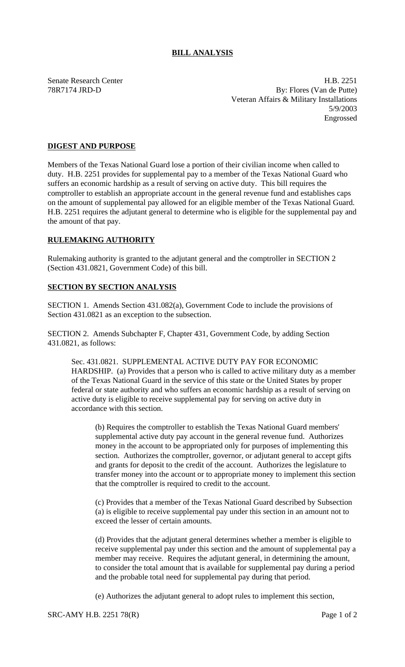## **BILL ANALYSIS**

Senate Research Center **H.B. 2251** 78R7174 JRD-D By: Flores (Van de Putte) Veteran Affairs & Military Installations 5/9/2003 Engrossed

## **DIGEST AND PURPOSE**

Members of the Texas National Guard lose a portion of their civilian income when called to duty. H.B. 2251 provides for supplemental pay to a member of the Texas National Guard who suffers an economic hardship as a result of serving on active duty. This bill requires the comptroller to establish an appropriate account in the general revenue fund and establishes caps on the amount of supplemental pay allowed for an eligible member of the Texas National Guard. H.B. 2251 requires the adjutant general to determine who is eligible for the supplemental pay and the amount of that pay.

## **RULEMAKING AUTHORITY**

Rulemaking authority is granted to the adjutant general and the comptroller in SECTION 2 (Section 431.0821, Government Code) of this bill.

## **SECTION BY SECTION ANALYSIS**

SECTION 1. Amends Section 431.082(a), Government Code to include the provisions of Section 431.0821 as an exception to the subsection.

SECTION 2. Amends Subchapter F, Chapter 431, Government Code, by adding Section 431.0821, as follows:

Sec. 431.0821. SUPPLEMENTAL ACTIVE DUTY PAY FOR ECONOMIC HARDSHIP. (a) Provides that a person who is called to active military duty as a member of the Texas National Guard in the service of this state or the United States by proper federal or state authority and who suffers an economic hardship as a result of serving on active duty is eligible to receive supplemental pay for serving on active duty in accordance with this section.

(b) Requires the comptroller to establish the Texas National Guard members' supplemental active duty pay account in the general revenue fund. Authorizes money in the account to be appropriated only for purposes of implementing this section. Authorizes the comptroller, governor, or adjutant general to accept gifts and grants for deposit to the credit of the account. Authorizes the legislature to transfer money into the account or to appropriate money to implement this section that the comptroller is required to credit to the account.

(c) Provides that a member of the Texas National Guard described by Subsection (a) is eligible to receive supplemental pay under this section in an amount not to exceed the lesser of certain amounts.

(d) Provides that the adjutant general determines whether a member is eligible to receive supplemental pay under this section and the amount of supplemental pay a member may receive. Requires the adjutant general, in determining the amount, to consider the total amount that is available for supplemental pay during a period and the probable total need for supplemental pay during that period.

(e) Authorizes the adjutant general to adopt rules to implement this section,